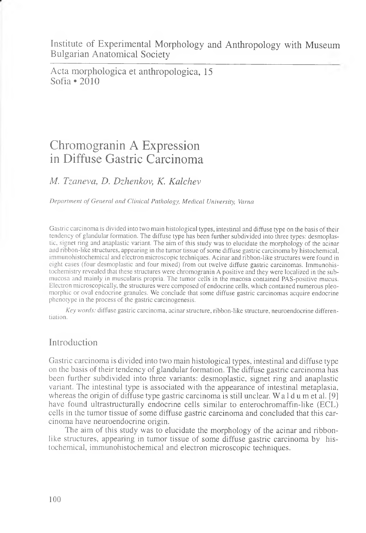Institute of Experimental Morphology and Anthropology with Museum Bulgarian Anatomical Society

Acta morphologica et anthropologica, 15 Sofia \*2010

# Chromogranin A Expression in Diffuse Gastric Carcinoma

## *M. Tzaneva, D. Dzhenkov, K. Kalchev*

*Department of General and Clinical Pathology, Medical University, Varna*

Gastric carcinoma is divided into two main histological types, intestinal and diffuse type on the basis of their tendency of glandular formation. The diffuse type has been further subdivided into three types: desmoplastic, signet ring and anaplastic variant. The aim of this study was to elucidate the morphology of the acinar and ribbon-like structures, appearing in the tumor tissue of some diffuse gastric carcinoma by histochemical, immunohistochemical and electron microscopic techniques. Acinar and ribbon-like structures were found in eight cases (four desmoplastic and four mixed) from out twelve diffuse gastric carcinomas. Immunohistochemistry revealed that these structures were chromogranin A positive and they were localized in the submucosa and mainly in muscularis propria. The tumor cells in the mucosa contained PAS-positive mucus. Electron microscopically, the structures were composed of endocrine cells, which contained numerous pleomorphic or oval endocrine granules. We conclude that some diffuse gastric carcinomas acquire endocrine phenotype in the process of the gastric carcinogenesis.

*Key words:* diffuse gastric carcinoma, acinar structure, ribbon-like structure, neuroendocrine differentiation.

## Introduction

Gastric carcinoma is divided into two main histological types, intestinal and diffuse type on the basis of their tendency of glandular formation. The diffuse gastric carcinoma has been further subdivided into three variants: desmoplastic, signet ring and anaplastic variant. The intestinal type is associated with the appearance of intestinal metaplasia, whereas the origin of diffuse type gastric carcinoma is still unclear. W a 1 d u m et al. [9] have found ultrastructurally endocrine cells similar to enterochromaffin-like (ECL) cells in the tumor tissue of some diffuse gastric carcinoma and concluded that this carcinoma have neuroendocrine origin.

The aim of this study was to elucidate the morphology of the acinar and ribbonlike structures, appearing in tumor tissue of some diffuse gastric carcinoma by histochemical, immunohistochemical and electron microscopic techniques.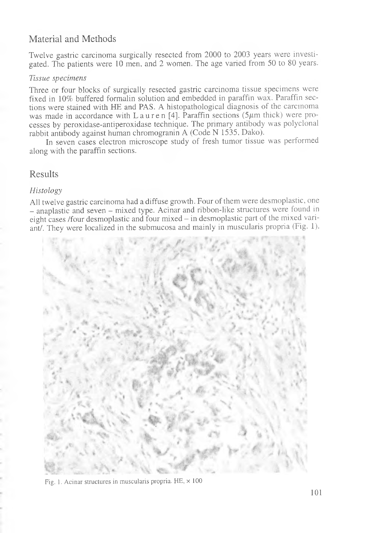# Material and Methods

Twelve gastric carcinoma surgically resected from 2000 to 2003 years were investigated. The patients were 10 men, and 2 women. The age varied from 50 to 80 years.

#### *Tissue specimens*

Three or four blocks of surgically resected gastric carcinoma tissue specimens were fixed in 10% buffered formalin solution and embedded in paraffin wax. Paraffin sections were stained with HE and PAS. A histopathological diagnosis of the carcinoma was made in accordance with L a u r e n [4]. Paraffin sections (5 $\mu$ m thick) were processes by peroxidase-antiperoxidase technique. The primary antibody was polyclonal rabbit antibody against human chromogranin A (Code N 1535, Dako).

In seven cases electron microscope study of fresh tumor tissue was performed along with the paraffin sections.

## Results

### *Histology*

All twelve gastric carcinoma had a diffuse growth. Four of them were desmoplastic, one - anaplastic and seven - mixed type. Acinar and ribbon-like structures were found in eight cases /four desmoplastic and four mixed - in desmoplastic part of the mixed variant/. They were localized in the submucosa and mainly in muscularis propria (Fig. 1).



Fig. 1. Acinar structures in muscularis propria.  $HE$ ,  $\times$  100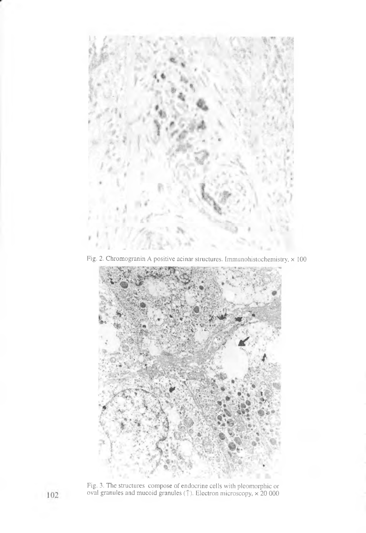

Fig. 2. Chromogranin A positive acinar structures. Immunohistochemistry,  $\times$  100



Fig. 3. The structures compose of endocrine cells with pleomorphic or oval granules and mucoid granules ( $\uparrow$ ). Electron microscopy,  $\times$  20 000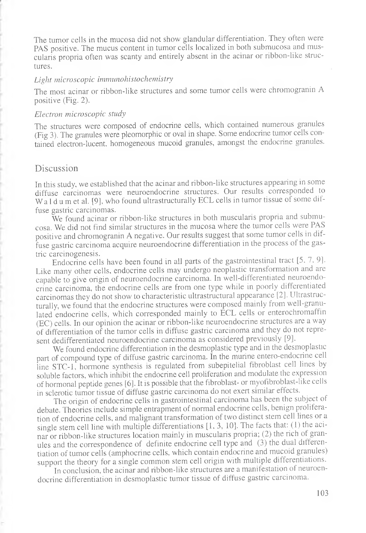The tumor cells in the mucosa did not show glandular differentiation. They often were PAS positive. The mucus content in tumor cells localized in both submucosa and muscularis propria often was scanty and entirely absent in the acinar or ribbon-like structures.

#### *Light microscopic immunohistochemistry*

The most acinar or ribbon-like structures and some tumor cells were chromogranin A positive (Fig. 2).

#### *Electron microscopic study*

The structures were composed of endocrine cells, which contained numerous granules (Fig 3). The granules were pleomorphic or oval in shape. Some endocrine tumor cells contained electron-lucent, homogeneous mucoid granules, amongst the endocrine granules.

## Discussion

In this study, we established that the acinar and ribbon-like structures appearing in some diffuse carcinomas were neuroendocrine structures. Our results corresponded to Wa 1 d u m et al. [9], who found ultrastructurally ECL cells in tumor tissue of some diffuse gastric carcinomas.

We found acinar or ribbon-like structures in both muscularis propria and submucosa. We did not find similar structures in the mucosa where the tumor cells were PAS positive and chromogranin A negative. Our results suggest that some tumor cells in diffuse gastric carcinoma acquire neuroendocrine differentiation in the process of the gastric carcinogenesis.

Endocrine cells have been found in all parts of the gastrointestinal tract [5, 7, 9]. Like many other cells, endocrine cells may undergo neoplastic transformation and are capable to give origin of neuroendocrine carcinoma. In well-differentiated neuroendocrine carcinoma, the endocrine cells are from one type while in poorly differentiated carcinomas they do not show to characteristic ultrastructural appearance [2]. Ultrastructurally, we found that the endocrine structures were composed mainly from well-granulated endocrine cells, which corresponded mainly to ECL cells or enterochromaffin (EC) cells. In our opinion the acinar or ribbon-like neuroendocrine structures are a way of differentiation of the tumor cells in diffuse gastric carcinoma and they do not represent dedifferentiated neuroendocrine carcinoma as considered previously [9].

We found endocrine differentiation in the desmoplastic type and in the desmoplastic part of compound type of diffuse gastric carcinoma. In the murine entero-endocrine cell line STC-1, hormone synthesis is regulated from subepitelial fibroblast cell lines by soluble factors, which inhibit the endocrine cell proliferation and modulate the expression of hormonal peptide genes [6]. It is possible that the fibroblast- or myofibroblast-like cells in sclerotic tumor tissue of diffuse gastric carcinoma do not exert similar effects.

The origin of endocrine cells in gastrointestinal carcinoma has been the subject of debate. Theories include simple entrapment of normal endocrine cells, benign proliferation of endocrine cells, and malignant transformation of two distinct stem cell lines or a single stem cell line with multiple differentiations [1, 3, 10]. The facts that: (1) the acinar or ribbon-like structures location mainly in muscularis propria; (2) the rich of granules and the correspondence of definite endocrine cell type and (3) the dual differentiation of tumor cells (amphocrine cells, which contain endocrine and mucoid granules) support the theory for a single common stem cell origin with multiple differentiations.

In conclusion, the acinar and ribbon-like structures are a manifestation of neuroendocrine differentiation in desmoplastic tumor tissue of diffuse gastric carcinoma.